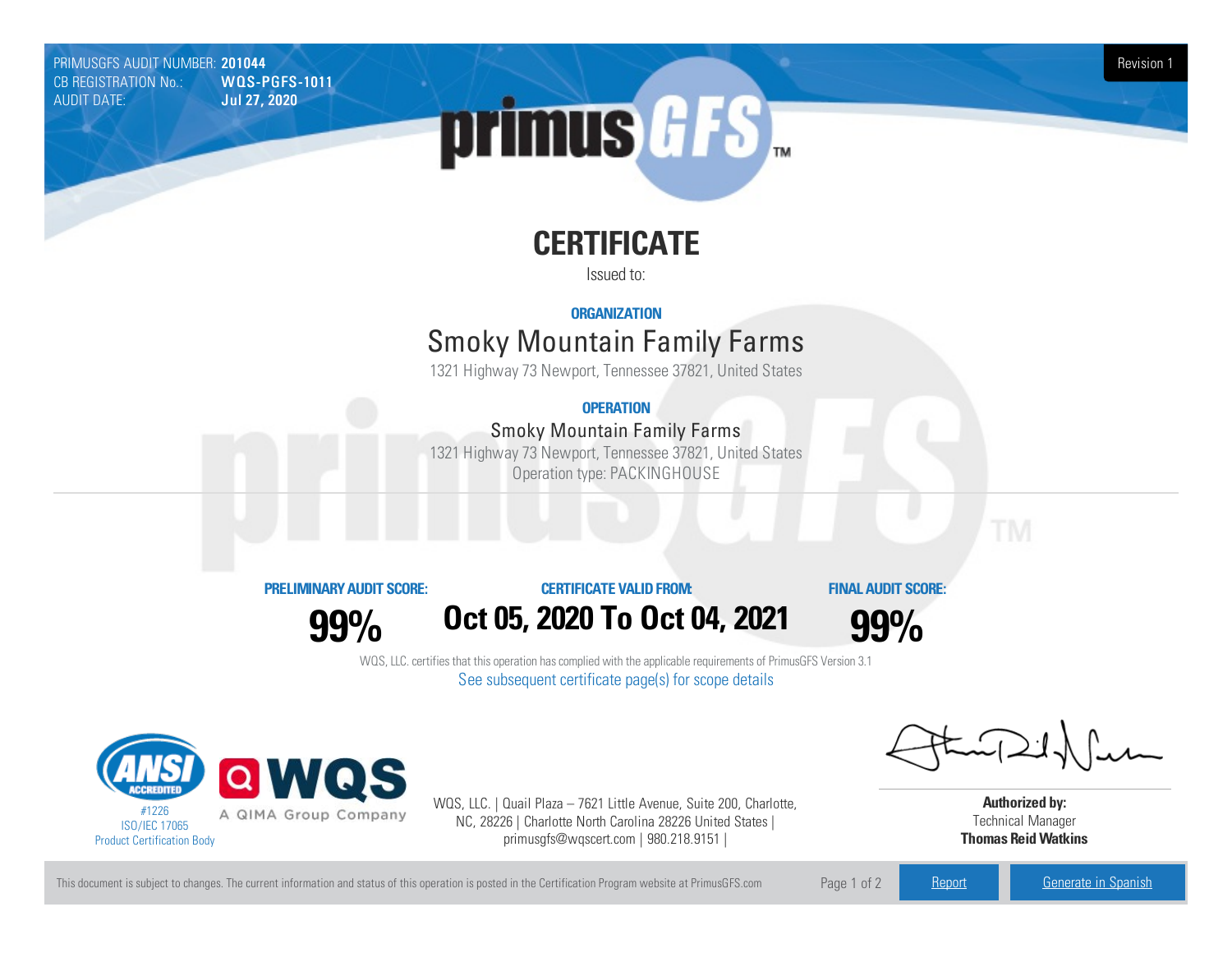PRIMUSGFS AUDIT NUMBER: 201044<br>CB REGISTRATION No.: WOLS-PGFS-1011 Revision 1 CB REGISTRATION No.:<br>AUDIT DATE: **Jul 27, 2020** 

# primus GFS

## **CERTIFICATE**

Issued to:

#### **ORGANIZATION**

### **Smoky Mountain Family Farms**

1321 Highway 73 Newport, Tennessee 37821, United States

#### **OPERATION**

#### Smoky Mountain Family Farms

1321 Highway 73 Newport, Tennessee 37821, United States Operation type: PACKINGHOUSE



**99%**

#### **CERTIFICATE VALIDFROM:**

**FINAL AUDIT SCORE:**

**99%**

WQS, LLC. certifies that this operation has complied with the applicable requirements of PrimusGFS Version 3.1 See subsequent certificate page(s) for scope details

**Oct05, 2020 To Oct04, 2021**



WQS, LLC. | Quail Plaza – 7621 Little Avenue, Suite 200, Charlotte, NC, 28226 | Charlotte North Carolina 28226 United States | primusgfs@wqscert.com | 980.218.9151 |

**Authorized by:** Technical Manager **Thomas ReidWatkins**

This document is subject to changes. The current information and status of this operation is posted in the Certification Program website at PrimusGFS.com Page 1 of 2 [Report](https://secure.azzule.com/PGFSDocuments/PGFS_AuditReport201044_8162_1_EN.pdf) [Generate](https://secure.azzule.com/PrimusGFSAudits/pdfGenerator.aspx?AuditHeaderID=10249832498840352042755272884033870404641&AppId=20806078756&LanguageID=1&UserId=1) in Spanish